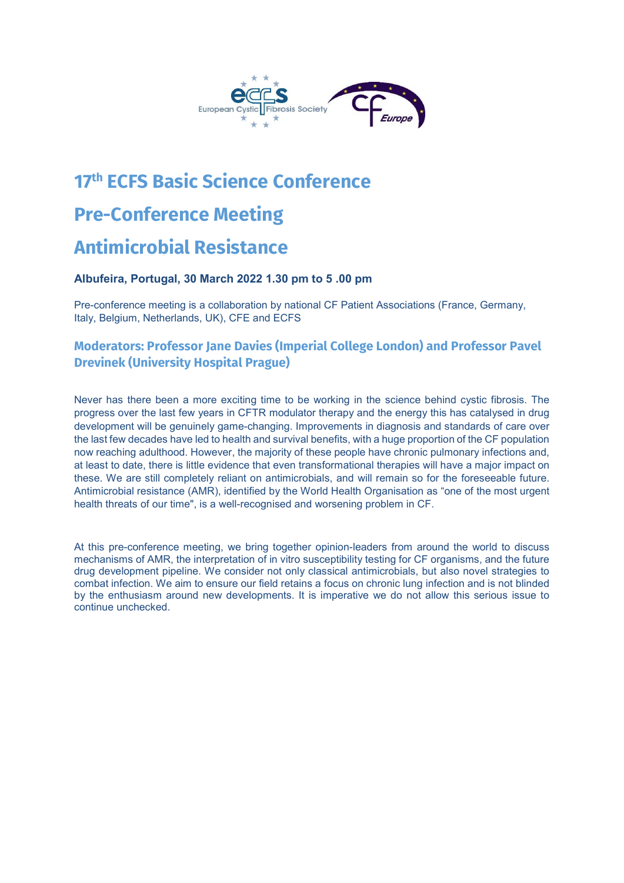

# 17th ECFS Basic Science Conference Pre-Conference Meeting Antimicrobial Resistance

#### Albufeira, Portugal, 30 March 2022 1.30 pm to 5 .00 pm

Pre-conference meeting is a collaboration by national CF Patient Associations (France, Germany, Italy, Belgium, Netherlands, UK), CFE and ECFS

### Moderators: Professor Jane Davies (Imperial College London) and Professor Pavel Drevinek (University Hospital Prague)

Never has there been a more exciting time to be working in the science behind cystic fibrosis. The progress over the last few years in CFTR modulator therapy and the energy this has catalysed in drug development will be genuinely game-changing. Improvements in diagnosis and standards of care over the last few decades have led to health and survival benefits, with a huge proportion of the CF population now reaching adulthood. However, the majority of these people have chronic pulmonary infections and, at least to date, there is little evidence that even transformational therapies will have a major impact on these. We are still completely reliant on antimicrobials, and will remain so for the foreseeable future. Antimicrobial resistance (AMR), identified by the World Health Organisation as "one of the most urgent health threats of our time", is a well-recognised and worsening problem in CF.

At this pre-conference meeting, we bring together opinion-leaders from around the world to discuss mechanisms of AMR, the interpretation of in vitro susceptibility testing for CF organisms, and the future drug development pipeline. We consider not only classical antimicrobials, but also novel strategies to combat infection. We aim to ensure our field retains a focus on chronic lung infection and is not blinded by the enthusiasm around new developments. It is imperative we do not allow this serious issue to continue unchecked.